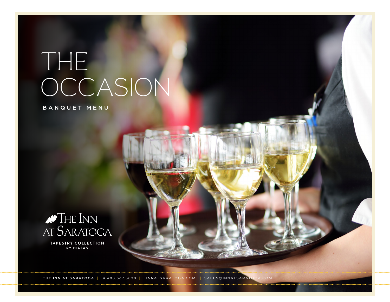# THE OCCASION

BANQUET MENU



**TAPESTRY COLLECTION** BY HILTON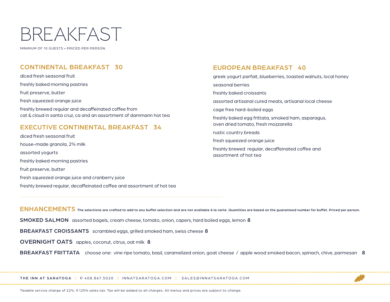# BREAKFAST

MINIMUM OF 10 GUESTS • PRICED PER PERSON.

# CONTINENTAL BREAKFAST 30

diced fresh seasonal fruit freshly baked morning pastries fruit preserve, butter fresh squeezed orange juice freshly brewed regular and decaffeinated coffee from cat & cloud in santa cruz, ca and an assortment of dammann hot tea

# EXECUTIVE CONTINENTAL BREAKFAST 34

diced fresh seasonal fruit house-made granola, 2% milk assorted yogurts freshly baked morning pastries fruit preserve, butter fresh squeezed orange juice and cranberry juice freshly brewed regular, decaffeinated coffee and assortment of hot tea

# EUROPEAN BREAKFAST 40

greek yogurt parfait, blueberries, toasted walnuts, local honey seasonal berries freshly baked croissants assorted artisanal cured meats, artisanal local cheese cage free hard-boiled eggs freshly baked egg frittata, smoked ham, asparagus, oven dried tomato, fresh mozzarella rustic country breads fresh squeezed orange juice

freshly brewed regular, decaffeinated coffee and assortment of hot tea

ENHANCEMENTS The selections are crafted to add to any buffet selection and are not available à la carte. Quantities are based on the guaranteed number for buffet. Priced per person.

SMOKED SALMON assorted bagels, cream cheese, tomato, onion, capers, hard boiled eggs, lemon 8

BREAKFAST CROISSANTS scrambled eggs, grilled smoked ham, swiss cheese 8

OVERNIGHT OATS apples, coconut, citrus, oat milk 8

BREAKFAST FRITTATA choose one: vine ripe tomato, basil, caramelized onion, goat cheese / apple wood smoked bacon, spinach, chive, parmesan 8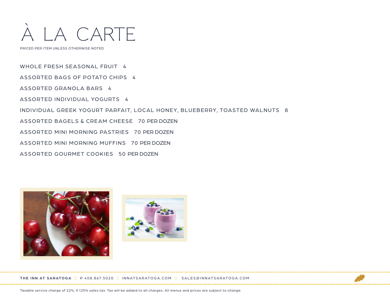

PRICED PER ITEM UNLESS OTHERWISE NOTED

WHOLE FRESH SEASONAL FRUIT 4 ASSORTED BAGS OF POTATO CHIPS 4 ASSORTED GRANOLA BARS 4 ASSORTED INDIVIDUAL YOGURTS 4 INDIVIDUAL GREEK YOGURT PARFAIT, LOCAL HONEY, BLUEBERRY, TOASTED WALNUTS 8 ASSORTED BAGELS & CREAM CHEESE 70 PER DOZEN ASSORTED MINI MORNING PASTRIES 70 PER DOZEN ASSORTED MINI MORNING MUFFINS 70 PER DOZEN ASSORTED GOURMET COOKIES 50 PER DOZEN





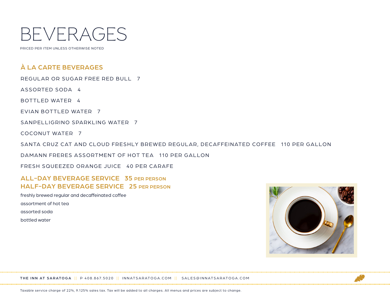

PRICED PER ITEM UNLESS OTHERWISE NOTED

# À LA CARTE BEVERAGES

REGULAR OR SUGAR FREE RED BULL 7

ASSORTED SODA 4

BOTTLED WATER 4

EVIAN BOTTLED WATER 7

SANPELLIGRINO SPARKLING WATER 7

COCONUT WATER 7

SANTA CRUZ CAT AND CLOUD FRESHLY BREWED REGULAR, DECAFFEINATED COFFEE 110 PER GALLON

DAMANN FRERES ASSORTMENT OF HOT TEA 110 PER GALLON

FRESH SQUEEZED ORANGE JUICE 40 PER CARAFE

# ALL-DAY BEVERAGE SERVICE 35 PER PERSON HALF-DAY BEVERAGE SERVICE 25 PER PERSON

freshly brewed regular and decaffeinated coffee

assortment of hot tea

assorted soda

bottled water



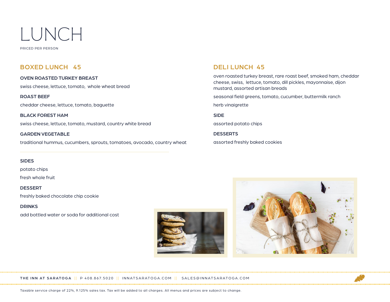

PRICED PER PERSON

# BOXED LUNCH 45

OVEN ROASTED TURKEY BREAST swiss cheese, lettuce, tomato, whole wheat bread

ROAST BEEF cheddar cheese, lettuce, tomato, baguette

BLACK FOREST HAM swiss cheese, lettuce, tomato, mustard, country white bread

GARDEN VEGETABLE traditional hummus, cucumbers, sprouts, tomatoes, avocado, country wheat

#### **SIDES**

potato chips

fresh whole fruit

DESSERT

freshly baked chocolate chip cookie

#### DRINKS

add bottled water or soda for additional cost





oven roasted turkey breast, rare roast beef, smoked ham, cheddar cheese, swiss, lettuce, tomato, dill pickles, mayonnaise, dijon mustard, assorted artisan breads

seasonal field greens, tomato, cucumber, buttermilk ranch herb vinaigrette

SIDE

assorted potato chips

**DESSERTS** assorted freshly baked cookies